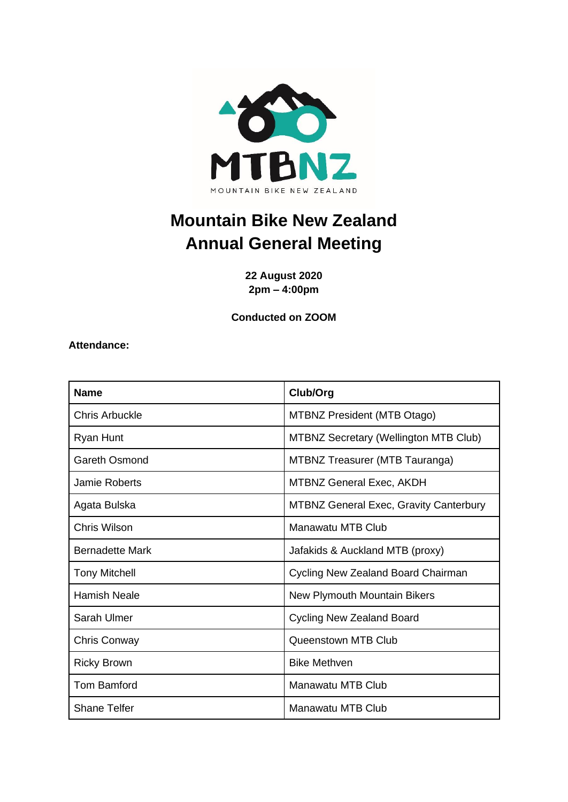

# **Mountain Bike New Zealand Annual General Meeting**

**22 August 2020 2pm – 4:00pm**

**Conducted on ZOOM**

**Attendance:**

| <b>Name</b>            | Club/Org                                      |
|------------------------|-----------------------------------------------|
| <b>Chris Arbuckle</b>  | <b>MTBNZ President (MTB Otago)</b>            |
| Ryan Hunt              | <b>MTBNZ Secretary (Wellington MTB Club)</b>  |
| Gareth Osmond          | <b>MTBNZ Treasurer (MTB Tauranga)</b>         |
| Jamie Roberts          | <b>MTBNZ General Exec, AKDH</b>               |
| Agata Bulska           | <b>MTBNZ General Exec, Gravity Canterbury</b> |
| Chris Wilson           | <b>Manawatu MTB Club</b>                      |
| <b>Bernadette Mark</b> | Jafakids & Auckland MTB (proxy)               |
| <b>Tony Mitchell</b>   | Cycling New Zealand Board Chairman            |
| <b>Hamish Neale</b>    | New Plymouth Mountain Bikers                  |
| Sarah Ulmer            | <b>Cycling New Zealand Board</b>              |
| Chris Conway           | Queenstown MTB Club                           |
| <b>Ricky Brown</b>     | <b>Bike Methven</b>                           |
| Tom Bamford            | Manawatu MTB Club                             |
| <b>Shane Telfer</b>    | Manawatu MTB Club                             |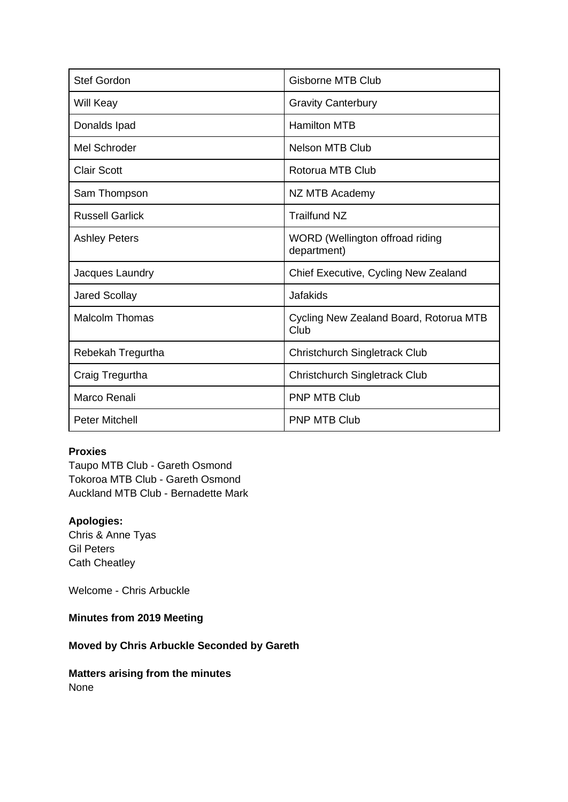| <b>Stef Gordon</b>     | <b>Gisborne MTB Club</b>                       |
|------------------------|------------------------------------------------|
| Will Keay              | <b>Gravity Canterbury</b>                      |
| Donalds Ipad           | <b>Hamilton MTB</b>                            |
| Mel Schroder           | <b>Nelson MTB Club</b>                         |
| <b>Clair Scott</b>     | Rotorua MTB Club                               |
| Sam Thompson           | NZ MTB Academy                                 |
| <b>Russell Garlick</b> | <b>Trailfund NZ</b>                            |
| <b>Ashley Peters</b>   | WORD (Wellington offroad riding<br>department) |
| Jacques Laundry        | Chief Executive, Cycling New Zealand           |
| <b>Jared Scollay</b>   | Jafakids                                       |
| <b>Malcolm Thomas</b>  | Cycling New Zealand Board, Rotorua MTB<br>Club |
| Rebekah Tregurtha      | Christchurch Singletrack Club                  |
| Craig Tregurtha        | Christchurch Singletrack Club                  |
| Marco Renali           | <b>PNP MTB Club</b>                            |
| <b>Peter Mitchell</b>  | <b>PNP MTB Club</b>                            |

#### **Proxies**

Taupo MTB Club - Gareth Osmond Tokoroa MTB Club - Gareth Osmond Auckland MTB Club - Bernadette Mark

#### **Apologies:**

Chris & Anne Tyas Gil Peters Cath Cheatley

Welcome - Chris Arbuckle

## **Minutes from 2019 Meeting**

# **Moved by Chris Arbuckle Seconded by Gareth**

**Matters arising from the minutes** None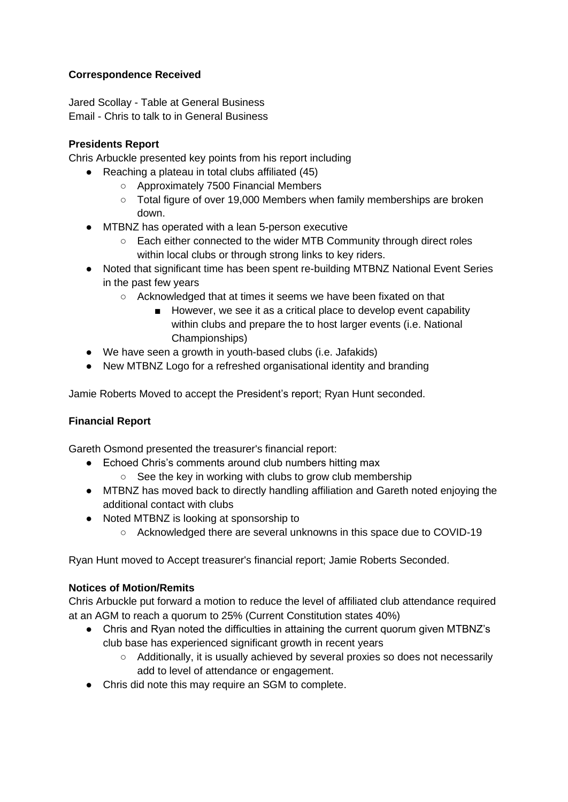### **Correspondence Received**

Jared Scollay - Table at General Business Email - Chris to talk to in General Business

### **Presidents Report**

Chris Arbuckle presented key points from his report including

- Reaching a plateau in total clubs affiliated (45)
	- Approximately 7500 Financial Members
	- Total figure of over 19,000 Members when family memberships are broken down.
- MTBNZ has operated with a lean 5-person executive
	- Each either connected to the wider MTB Community through direct roles within local clubs or through strong links to key riders.
- Noted that significant time has been spent re-building MTBNZ National Event Series in the past few years
	- Acknowledged that at times it seems we have been fixated on that
		- However, we see it as a critical place to develop event capability within clubs and prepare the to host larger events (i.e. National Championships)
- We have seen a growth in youth-based clubs (i.e. Jafakids)
- New MTBNZ Logo for a refreshed organisational identity and branding

Jamie Roberts Moved to accept the President's report; Ryan Hunt seconded.

# **Financial Report**

Gareth Osmond presented the treasurer's financial report:

- Echoed Chris's comments around club numbers hitting max
	- See the key in working with clubs to grow club membership
- MTBNZ has moved back to directly handling affiliation and Gareth noted enjoying the additional contact with clubs
- Noted MTBNZ is looking at sponsorship to
	- Acknowledged there are several unknowns in this space due to COVID-19

Ryan Hunt moved to Accept treasurer's financial report; Jamie Roberts Seconded.

#### **Notices of Motion/Remits**

Chris Arbuckle put forward a motion to reduce the level of affiliated club attendance required at an AGM to reach a quorum to 25% (Current Constitution states 40%)

- Chris and Ryan noted the difficulties in attaining the current quorum given MTBNZ's club base has experienced significant growth in recent years
	- Additionally, it is usually achieved by several proxies so does not necessarily add to level of attendance or engagement.
- Chris did note this may require an SGM to complete.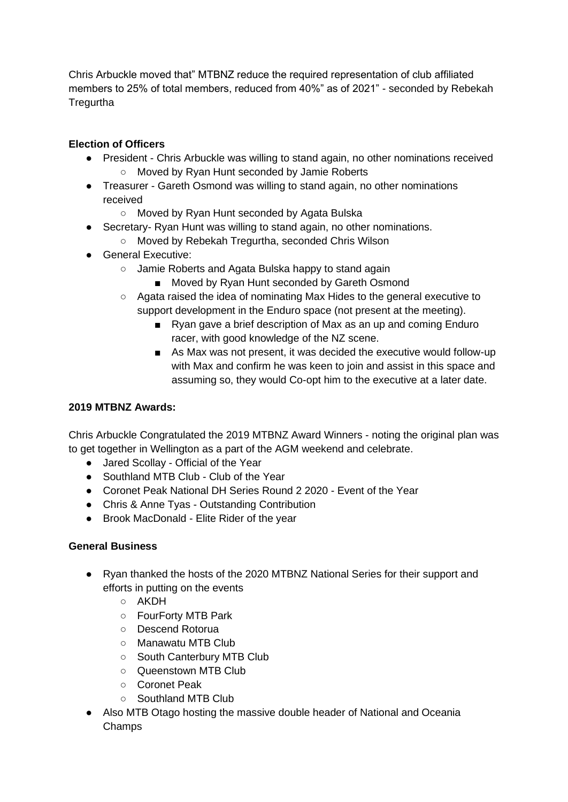Chris Arbuckle moved that" MTBNZ reduce the required representation of club affiliated members to 25% of total members, reduced from 40%" as of 2021" - seconded by Rebekah **Tregurtha** 

# **Election of Officers**

- President Chris Arbuckle was willing to stand again, no other nominations received ○ Moved by Ryan Hunt seconded by Jamie Roberts
- Treasurer Gareth Osmond was willing to stand again, no other nominations received
	- Moved by Ryan Hunt seconded by Agata Bulska
- Secretary- Ryan Hunt was willing to stand again, no other nominations.
	- Moved by Rebekah Tregurtha, seconded Chris Wilson
- General Executive:
	- Jamie Roberts and Agata Bulska happy to stand again
		- Moved by Ryan Hunt seconded by Gareth Osmond
	- Agata raised the idea of nominating Max Hides to the general executive to support development in the Enduro space (not present at the meeting).
		- Ryan gave a brief description of Max as an up and coming Enduro racer, with good knowledge of the NZ scene.
		- As Max was not present, it was decided the executive would follow-up with Max and confirm he was keen to join and assist in this space and assuming so, they would Co-opt him to the executive at a later date.

# **2019 MTBNZ Awards:**

Chris Arbuckle Congratulated the 2019 MTBNZ Award Winners - noting the original plan was to get together in Wellington as a part of the AGM weekend and celebrate.

- Jared Scollay Official of the Year
- Southland MTB Club Club of the Year
- Coronet Peak National DH Series Round 2 2020 Event of the Year
- Chris & Anne Tyas Outstanding Contribution
- Brook MacDonald Elite Rider of the year

# **General Business**

- Ryan thanked the hosts of the 2020 MTBNZ National Series for their support and efforts in putting on the events
	- AKDH
	- FourForty MTB Park
	- Descend Rotorua
	- Manawatu MTB Club
	- South Canterbury MTB Club
	- Queenstown MTB Club
	- Coronet Peak
	- Southland MTB Club
- Also MTB Otago hosting the massive double header of National and Oceania Champs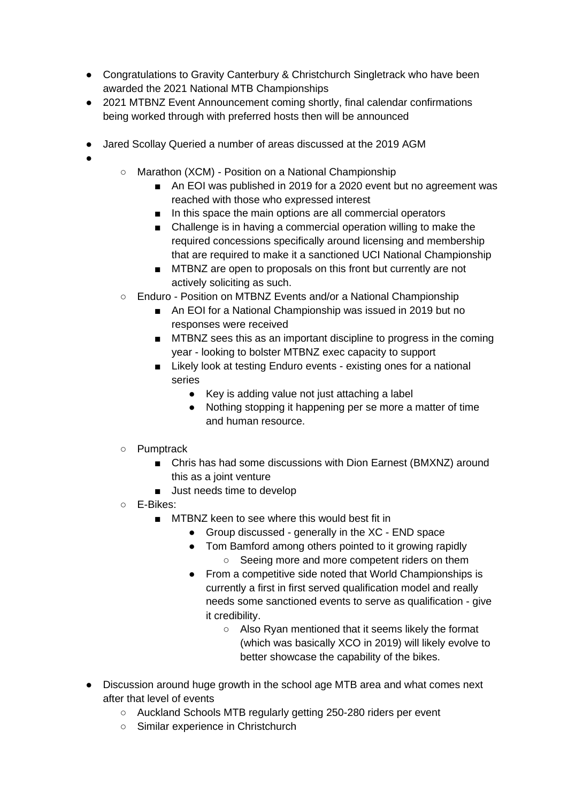- Congratulations to Gravity Canterbury & Christchurch Singletrack who have been awarded the 2021 National MTB Championships
- 2021 MTBNZ Event Announcement coming shortly, final calendar confirmations being worked through with preferred hosts then will be announced
- Jared Scollay Queried a number of areas discussed at the 2019 AGM
- ●
- Marathon (XCM) Position on a National Championship
	- An EOI was published in 2019 for a 2020 event but no agreement was reached with those who expressed interest
	- In this space the main options are all commercial operators
	- Challenge is in having a commercial operation willing to make the required concessions specifically around licensing and membership that are required to make it a sanctioned UCI National Championship
	- MTBNZ are open to proposals on this front but currently are not actively soliciting as such.
- Enduro Position on MTBNZ Events and/or a National Championship
	- An EOI for a National Championship was issued in 2019 but no responses were received
	- MTBNZ sees this as an important discipline to progress in the coming year - looking to bolster MTBNZ exec capacity to support
	- Likely look at testing Enduro events existing ones for a national series
		- Key is adding value not just attaching a label
		- Nothing stopping it happening per se more a matter of time and human resource.
- Pumptrack
	- Chris has had some discussions with Dion Earnest (BMXNZ) around this as a joint venture
	- Just needs time to develop
- E-Bikes:
	- MTBNZ keen to see where this would best fit in
		- Group discussed generally in the XC END space
		- Tom Bamford among others pointed to it growing rapidly ○ Seeing more and more competent riders on them
		- From a competitive side noted that World Championships is currently a first in first served qualification model and really needs some sanctioned events to serve as qualification - give it credibility.
			- Also Ryan mentioned that it seems likely the format (which was basically XCO in 2019) will likely evolve to better showcase the capability of the bikes.
- Discussion around huge growth in the school age MTB area and what comes next after that level of events
	- Auckland Schools MTB regularly getting 250-280 riders per event
	- Similar experience in Christchurch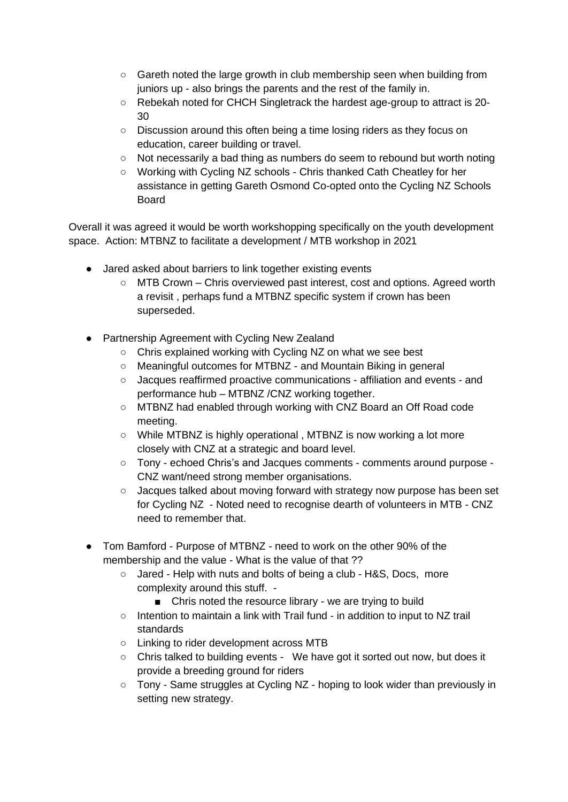- $\circ$  Gareth noted the large growth in club membership seen when building from juniors up - also brings the parents and the rest of the family in.
- Rebekah noted for CHCH Singletrack the hardest age-group to attract is 20- 30
- Discussion around this often being a time losing riders as they focus on education, career building or travel.
- Not necessarily a bad thing as numbers do seem to rebound but worth noting
- Working with Cycling NZ schools Chris thanked Cath Cheatley for her assistance in getting Gareth Osmond Co-opted onto the Cycling NZ Schools Board

Overall it was agreed it would be worth workshopping specifically on the youth development space. Action: MTBNZ to facilitate a development / MTB workshop in 2021

- Jared asked about barriers to link together existing events
	- MTB Crown Chris overviewed past interest, cost and options. Agreed worth a revisit , perhaps fund a MTBNZ specific system if crown has been superseded.
- Partnership Agreement with Cycling New Zealand
	- Chris explained working with Cycling NZ on what we see best
	- Meaningful outcomes for MTBNZ and Mountain Biking in general
	- Jacques reaffirmed proactive communications affiliation and events and performance hub – MTBNZ /CNZ working together.
	- MTBNZ had enabled through working with CNZ Board an Off Road code meeting.
	- While MTBNZ is highly operational, MTBNZ is now working a lot more closely with CNZ at a strategic and board level.
	- Tony echoed Chris's and Jacques comments comments around purpose CNZ want/need strong member organisations.
	- Jacques talked about moving forward with strategy now purpose has been set for Cycling NZ - Noted need to recognise dearth of volunteers in MTB - CNZ need to remember that.
- Tom Bamford Purpose of MTBNZ need to work on the other 90% of the membership and the value - What is the value of that ??
	- Jared Help with nuts and bolts of being a club H&S, Docs, more complexity around this stuff. -
		- Chris noted the resource library we are trying to build
	- Intention to maintain a link with Trail fund in addition to input to NZ trail standards
	- Linking to rider development across MTB
	- Chris talked to building events We have got it sorted out now, but does it provide a breeding ground for riders
	- Tony Same struggles at Cycling NZ hoping to look wider than previously in setting new strategy.